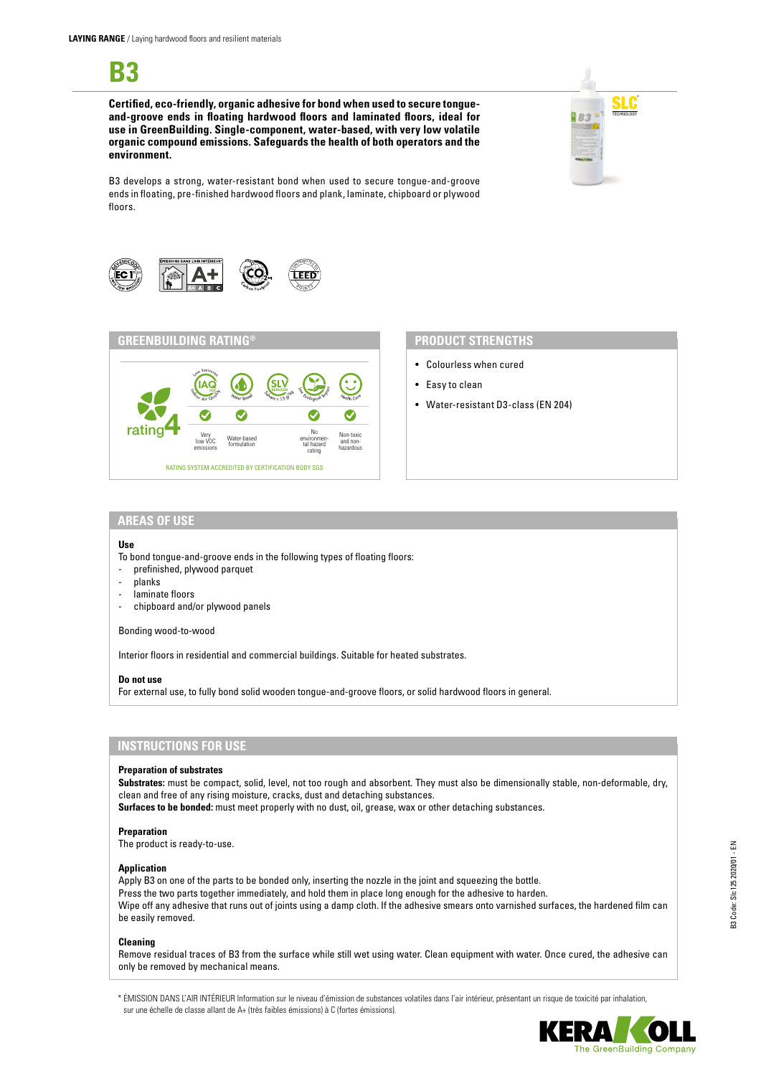**B3**

**Certified, eco-friendly, organic adhesive for bond when used to secure tongueand-groove ends in floating hardwood floors and laminated floors, ideal for use in GreenBuilding. Single-component, water-based, with very low volatile organic compound emissions. Safeguards the health of both operators and the environment.**



B3 develops a strong, water-resistant bond when used to secure tongue-and-groove ends in floating, pre-finished hardwood floors and plank, laminate, chipboard or plywood floors.





- Colourless when cured
- Easy to clean
- Water-resistant D3-class (EN 204)

## **AREAS OF USE**

#### **Use**

- To bond tongue-and-groove ends in the following types of floating floors:
- prefinished, plywood parquet
- planks
- laminate floors
- chipboard and/or plywood panels

#### Bonding wood-to-wood

Interior floors in residential and commercial buildings. Suitable for heated substrates.

#### **Do not use**

For external use, to fully bond solid wooden tongue-and-groove floors, or solid hardwood floors in general.

## **INSTRUCTIONS FOR USE**

#### **Preparation of substrates**

**Substrates:** must be compact, solid, level, not too rough and absorbent. They must also be dimensionally stable, non-deformable, dry, clean and free of any rising moisture, cracks, dust and detaching substances.

**Surfaces to be bonded:** must meet properly with no dust, oil, grease, wax or other detaching substances.

#### **Preparation**

The product is ready-to-use.

#### **Application**

Apply B3 on one of the parts to be bonded only, inserting the nozzle in the joint and squeezing the bottle. Press the two parts together immediately, and hold them in place long enough for the adhesive to harden. Wipe off any adhesive that runs out of joints using a damp cloth. If the adhesive smears onto varnished surfaces, the hardened film can be easily removed.

## **Cleaning**

Remove residual traces of B3 from the surface while still wet using water. Clean equipment with water. Once cured, the adhesive can only be removed by mechanical means.

\* ÉMISSION DANS L'AIR INTÉRIEUR Information sur le niveau d'émission de substances volatiles dans l'air intérieur, présentant un risque de toxicité par inhalation, sur une échelle de classe allant de A+ (très faibles émissions) à C (fortes émissions).